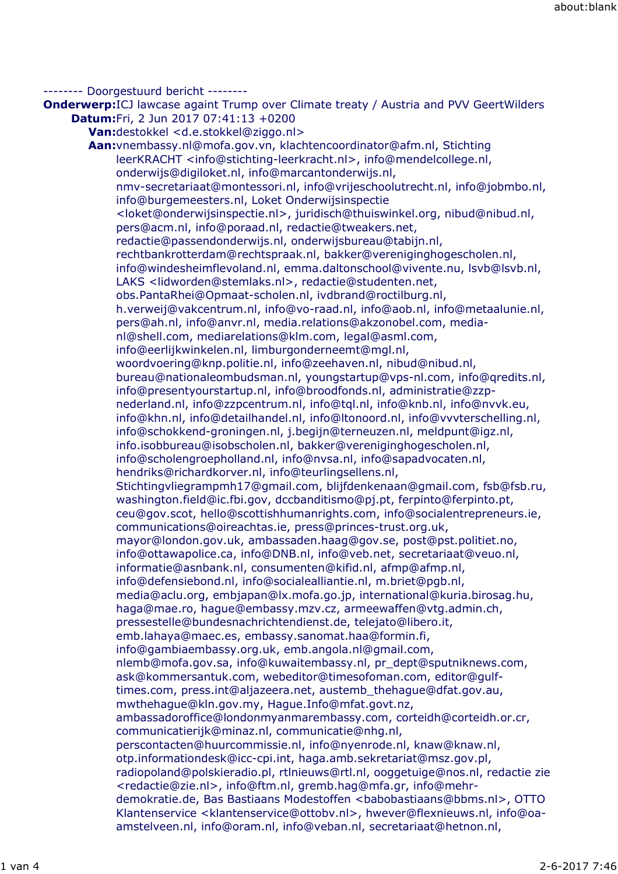-------- Doorgestuurd bericht --------

**Onderwerp:**ICJ lawcase againt Trump over Climate treaty / Austria and PVV GeertWilders **Datum:**Fri, 2 Jun 2017 07:41:13 +0200 **Van:**destokkel <d.e.stokkel@ziggo.nl> **Aan:**vnembassy.nl@mofa.gov.vn, klachtencoordinator@afm.nl, Stichting leerKRACHT <info@stichting-leerkracht.nl>, info@mendelcollege.nl, onderwijs@digiloket.nl, info@marcantonderwijs.nl, nmv-secretariaat@montessori.nl, info@vrijeschoolutrecht.nl, info@jobmbo.nl, info@burgemeesters.nl, Loket Onderwijsinspectie <loket@onderwijsinspectie.nl>, juridisch@thuiswinkel.org, nibud@nibud.nl, pers@acm.nl, info@poraad.nl, redactie@tweakers.net, redactie@passendonderwijs.nl, onderwijsbureau@tabijn.nl, rechtbankrotterdam@rechtspraak.nl, bakker@vereniginghogescholen.nl, info@windesheimflevoland.nl, emma.daltonschool@vivente.nu, lsvb@lsvb.nl, LAKS <lidworden@stemlaks.nl>, redactie@studenten.net, obs.PantaRhei@Opmaat-scholen.nl, ivdbrand@roctilburg.nl, h.verweij@vakcentrum.nl, info@vo-raad.nl, info@aob.nl, info@metaalunie.nl, pers@ah.nl, info@anvr.nl, media.relations@akzonobel.com, medianl@shell.com, mediarelations@klm.com, legal@asml.com, info@eerlijkwinkelen.nl, limburgonderneemt@mgl.nl, woordvoering@knp.politie.nl, info@zeehaven.nl, nibud@nibud.nl, bureau@nationaleombudsman.nl, youngstartup@vps-nl.com, info@qredits.nl, info@presentyourstartup.nl, info@broodfonds.nl, administratie@zzpnederland.nl, info@zzpcentrum.nl, info@tql.nl, info@knb.nl, info@nvvk.eu, info@khn.nl, info@detailhandel.nl, info@ltonoord.nl, info@vvvterschelling.nl, info@schokkend-groningen.nl, j.begijn@terneuzen.nl, meldpunt@igz.nl, info.isobbureau@isobscholen.nl, bakker@vereniginghogescholen.nl, info@scholengroepholland.nl, info@nvsa.nl, info@sapadvocaten.nl, hendriks@richardkorver.nl, info@teurlingsellens.nl, Stichtingvliegrampmh17@gmail.com, blijfdenkenaan@gmail.com, fsb@fsb.ru, washington.field@ic.fbi.gov, dccbanditismo@pj.pt, ferpinto@ferpinto.pt, ceu@gov.scot, hello@scottishhumanrights.com, info@socialentrepreneurs.ie, communications@oireachtas.ie, press@princes-trust.org.uk, mayor@london.gov.uk, ambassaden.haag@gov.se, post@pst.politiet.no, info@ottawapolice.ca, info@DNB.nl, info@veb.net, secretariaat@veuo.nl, informatie@asnbank.nl, consumenten@kifid.nl, afmp@afmp.nl, info@defensiebond.nl, info@socialealliantie.nl, m.briet@pgb.nl, media@aclu.org, embjapan@lx.mofa.go.jp, international@kuria.birosag.hu, haga@mae.ro, hague@embassy.mzv.cz, armeewaffen@vtg.admin.ch, pressestelle@bundesnachrichtendienst.de, telejato@libero.it, emb.lahaya@maec.es, embassy.sanomat.haa@formin.fi, info@gambiaembassy.org.uk, emb.angola.nl@gmail.com, nlemb@mofa.gov.sa, info@kuwaitembassy.nl, pr\_dept@sputniknews.com, ask@kommersantuk.com, webeditor@timesofoman.com, editor@gulftimes.com, press.int@aljazeera.net, austemb\_thehague@dfat.gov.au, mwthehague@kln.gov.my, Hague.Info@mfat.govt.nz, ambassadoroffice@londonmyanmarembassy.com, corteidh@corteidh.or.cr, communicatierijk@minaz.nl, communicatie@nhg.nl, perscontacten@huurcommissie.nl, info@nyenrode.nl, knaw@knaw.nl, otp.informationdesk@icc-cpi.int, haga.amb.sekretariat@msz.gov.pl, radiopoland@polskieradio.pl, rtlnieuws@rtl.nl, ooggetuige@nos.nl, redactie zie <redactie@zie.nl>, info@ftm.nl, gremb.hag@mfa.gr, info@mehrdemokratie.de, Bas Bastiaans Modestoffen <babobastiaans@bbms.nl>, OTTO Klantenservice <klantenservice@ottobv.nl>, hwever@flexnieuws.nl, info@oa-

amstelveen.nl, info@oram.nl, info@veban.nl, secretariaat@hetnon.nl,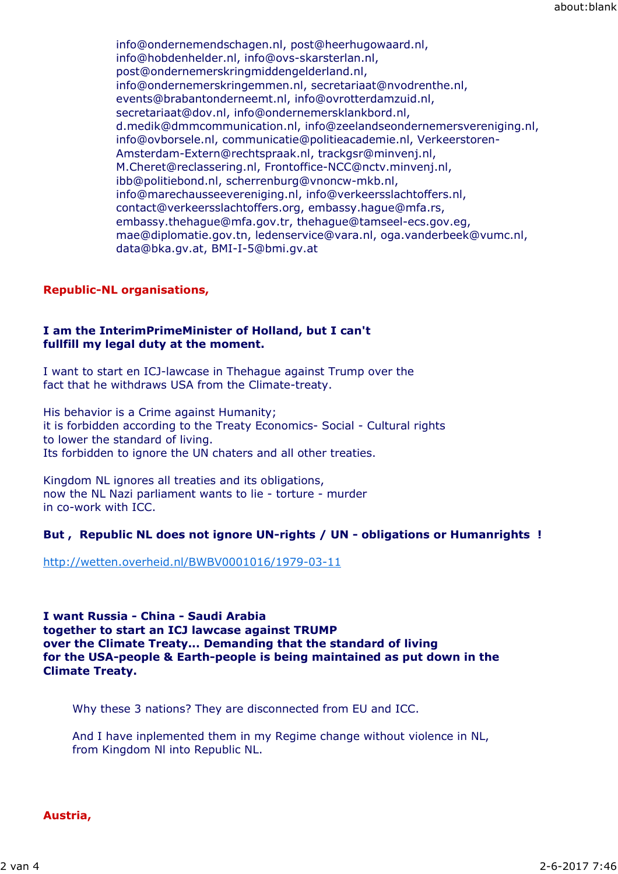info@ondernemendschagen.nl, post@heerhugowaard.nl, info@hobdenhelder.nl, info@ovs-skarsterlan.nl, post@ondernemerskringmiddengelderland.nl, info@ondernemerskringemmen.nl, secretariaat@nvodrenthe.nl, events@brabantonderneemt.nl, info@ovrotterdamzuid.nl, secretariaat@dov.nl, info@ondernemersklankbord.nl, d.medik@dmmcommunication.nl, info@zeelandseondernemersvereniging.nl, info@ovborsele.nl, communicatie@politieacademie.nl, Verkeerstoren-Amsterdam-Extern@rechtspraak.nl, trackgsr@minvenj.nl, M.Cheret@reclassering.nl, Frontoffice-NCC@nctv.minvenj.nl, ibb@politiebond.nl, scherrenburg@vnoncw-mkb.nl, info@marechausseevereniging.nl, info@verkeersslachtoffers.nl, contact@verkeersslachtoffers.org, embassy.hague@mfa.rs, embassy.thehague@mfa.gov.tr, thehague@tamseel-ecs.gov.eg, mae@diplomatie.gov.tn, ledenservice@vara.nl, oga.vanderbeek@vumc.nl, data@bka.gv.at, BMI-I-5@bmi.gv.at

# **Republic-NL organisations,**

## **I am the InterimPrimeMinister of Holland, but I can't fullfill my legal duty at the moment.**

I want to start en ICJ-lawcase in Thehague against Trump over the fact that he withdraws USA from the Climate-treaty.

His behavior is a Crime against Humanity; it is forbidden according to the Treaty Economics- Social - Cultural rights to lower the standard of living. Its forbidden to ignore the UN chaters and all other treaties.

Kingdom NL ignores all treaties and its obligations, now the NL Nazi parliament wants to lie - torture - murder in co-work with ICC.

# **But , Republic NL does not ignore UN-rights / UN - obligations or Humanrights !**

http://wetten.overheid.nl/BWBV0001016/1979-03-11

**I want Russia - China - Saudi Arabia together to start an ICJ lawcase against TRUMP over the Climate Treaty... Demanding that the standard of living for the USA-people & Earth-people is being maintained as put down in the Climate Treaty.**

Why these 3 nations? They are disconnected from EU and ICC.

And I have inplemented them in my Regime change without violence in NL, from Kingdom Nl into Republic NL.

**Austria,**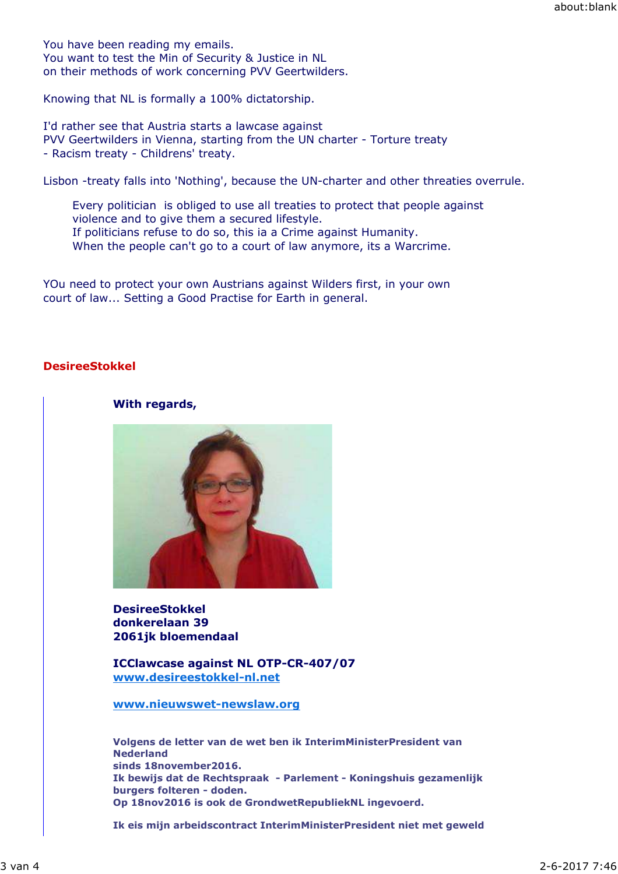You have been reading my emails. You want to test the Min of Security & Justice in NL on their methods of work concerning PVV Geertwilders.

Knowing that NL is formally a 100% dictatorship.

I'd rather see that Austria starts a lawcase against PVV Geertwilders in Vienna, starting from the UN charter - Torture treaty - Racism treaty - Childrens' treaty.

Lisbon -treaty falls into 'Nothing', because the UN-charter and other threaties overrule.

Every politician is obliged to use all treaties to protect that people against violence and to give them a secured lifestyle. If politicians refuse to do so, this ia a Crime against Humanity. When the people can't go to a court of law anymore, its a Warcrime.

YOu need to protect your own Austrians against Wilders first, in your own court of law... Setting a Good Practise for Earth in general.

## **DesireeStokkel**

## **With regards,**



**DesireeStokkel donkerelaan 39 2061jk bloemendaal**

**ICClawcase against NL OTP-CR-407/07 www.desireestokkel-nl.net**

**www.nieuwswet-newslaw.org**

**Volgens de letter van de wet ben ik InterimMinisterPresident van Nederland sinds 18november2016. Ik bewijs dat de Rechtspraak - Parlement - Koningshuis gezamenlijk burgers folteren - doden. Op 18nov2016 is ook de GrondwetRepubliekNL ingevoerd.**

**Ik eis mijn arbeidscontract InterimMinisterPresident niet met geweld**